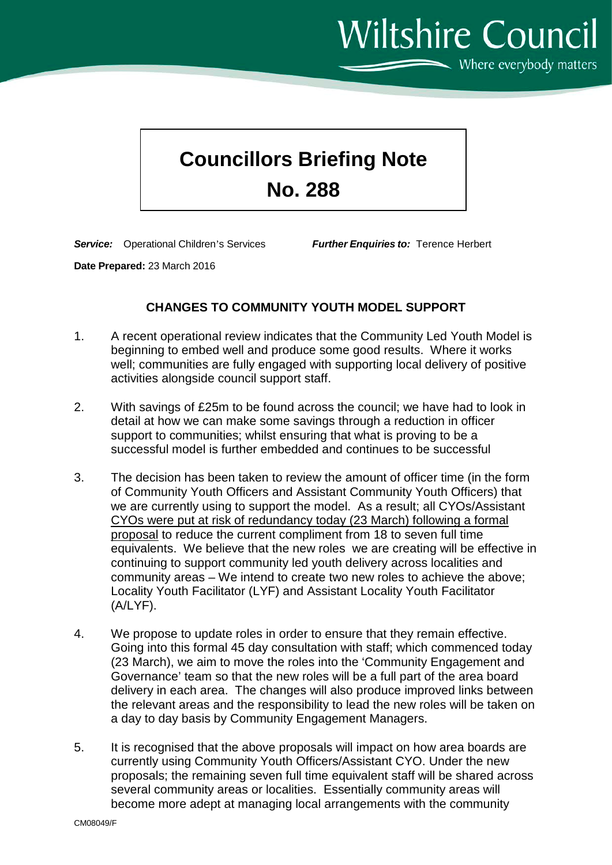**Wiltshire Council**  $\sim$  Where everybody matters

## **Councillors Briefing Note No. 288**

*Service:* Operational Children's Services *Further Enquiries to:* Terence Herbert

**Date Prepared:** 23 March 2016

## **CHANGES TO COMMUNITY YOUTH MODEL SUPPORT**

- 1. A recent operational review indicates that the Community Led Youth Model is beginning to embed well and produce some good results. Where it works well; communities are fully engaged with supporting local delivery of positive activities alongside council support staff.
- 2. With savings of £25m to be found across the council; we have had to look in detail at how we can make some savings through a reduction in officer support to communities; whilst ensuring that what is proving to be a successful model is further embedded and continues to be successful
- 3. The decision has been taken to review the amount of officer time (in the form of Community Youth Officers and Assistant Community Youth Officers) that we are currently using to support the model. As a result; all CYOs/Assistant CYOs were put at risk of redundancy today (23 March) following a formal proposal to reduce the current compliment from 18 to seven full time equivalents. We believe that the new roles we are creating will be effective in continuing to support community led youth delivery across localities and community areas – We intend to create two new roles to achieve the above; Locality Youth Facilitator (LYF) and Assistant Locality Youth Facilitator (A/LYF).
- 4. We propose to update roles in order to ensure that they remain effective. Going into this formal 45 day consultation with staff; which commenced today (23 March), we aim to move the roles into the 'Community Engagement and Governance' team so that the new roles will be a full part of the area board delivery in each area. The changes will also produce improved links between the relevant areas and the responsibility to lead the new roles will be taken on a day to day basis by Community Engagement Managers.
- 5. It is recognised that the above proposals will impact on how area boards are currently using Community Youth Officers/Assistant CYO. Under the new proposals; the remaining seven full time equivalent staff will be shared across several community areas or localities. Essentially community areas will become more adept at managing local arrangements with the community